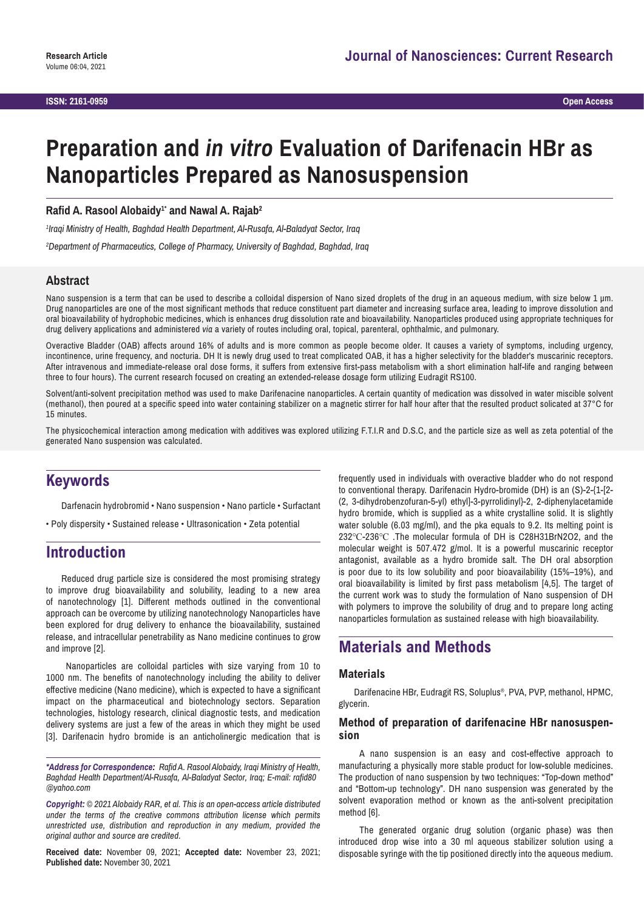# **Preparation and** *in vitro* **Evaluation of Darifenacin HBr as Nanoparticles Prepared as Nanosuspension**

Rafid A. Rasool Alobaidy<sup>1</sup> and Nawal A. Rajab<sup>2</sup>

*1 Iraqi Ministry of Health, Baghdad Health Department, Al-Rusafa, Al-Baladyat Sector, Iraq*

*2 Department of Pharmaceutics, College of Pharmacy, University of Baghdad, Baghdad, Iraq*

### **Abstract**

Nano suspension is a term that can be used to describe a colloidal dispersion of Nano sized droplets of the drug in an aqueous medium, with size below 1 µm. Drug nanoparticles are one of the most significant methods that reduce constituent part diameter and increasing surface area, leading to improve dissolution and oral bioavailability of hydrophobic medicines, which is enhances drug dissolution rate and bioavailability. Nanoparticles produced using appropriate techniques for drug delivery applications and administered *via* a variety of routes including oral, topical, parenteral, ophthalmic, and pulmonary.

Overactive Bladder (OAB) affects around 16% of adults and is more common as people become older. It causes a variety of symptoms, including urgency, incontinence, urine frequency, and nocturia. DH It is newly drug used to treat complicated OAB, it has a higher selectivity for the bladder's muscarinic receptors. After intravenous and immediate-release oral dose forms, it suffers from extensive first-pass metabolism with a short elimination half-life and ranging between three to four hours). The current research focused on creating an extended-release dosage form utilizing Eudragit RS100.

Solvent/anti-solvent precipitation method was used to make Darifenacine nanoparticles. A certain quantity of medication was dissolved in water miscible solvent (methanol), then poured at a specific speed into water containing stabilizer on a magnetic stirrer for half hour after that the resulted product solicated at 37°C for 15 minutes.

The physicochemical interaction among medication with additives was explored utilizing F.T.I.R and D.S.C, and the particle size as well as zeta potential of the generated Nano suspension was calculated.

# **Keywords**

Darfenacin hydrobromid • Nano suspension • Nano particle • Surfactant

• Poly dispersity • Sustained release • Ultrasonication • Zeta potential

# **Introduction**

Reduced drug particle size is considered the most promising strategy to improve drug bioavailability and solubility, leading to a new area of nanotechnology [1]. Different methods outlined in the conventional approach can be overcome by utilizing nanotechnology Nanoparticles have been explored for drug delivery to enhance the bioavailability, sustained release, and intracellular penetrability as Nano medicine continues to grow and improve [2].

 Nanoparticles are colloidal particles with size varying from 10 to 1000 nm. The benefits of nanotechnology including the ability to deliver effective medicine (Nano medicine), which is expected to have a significant impact on the pharmaceutical and biotechnology sectors. Separation technologies, histology research, clinical diagnostic tests, and medication delivery systems are just a few of the areas in which they might be used [3]. Darifenacin hydro bromide is an anticholinergic medication that is

*\*Address for Correspondence: Rafid A. Rasool Alobaidy, Iraqi Ministry of Health, Baghdad Health Department/Al-Rusafa, Al-Baladyat Sector, Iraq; E-mail: rafid80 @yahoo.com*

*Copyright: © 2021 Alobaidy RAR, et al. This is an open-access article distributed under the terms of the creative commons attribution license which permits unrestricted use, distribution and reproduction in any medium, provided the original author and source are credited.*

**Received date:** November 09, 2021; **Accepted date:** November 23, 2021; **Published date:** November 30, 2021

frequently used in individuals with overactive bladder who do not respond to conventional therapy. Darifenacin Hydro-bromide (DH) is an (S)-2-{1-[2- (2, 3-dihydrobenzofuran-5-yl) ethyl]-3-pyrrolidinyl}-2, 2-diphenylacetamide hydro bromide, which is supplied as a white crystalline solid. It is slightly water soluble (6.03 mg/ml), and the pka equals to 9.2. Its melting point is 232℃-236℃ .The molecular formula of DH is C28H31BrN2O2, and the molecular weight is 507.472 g/mol. It is a powerful muscarinic receptor antagonist, available as a hydro bromide salt. The DH oral absorption is poor due to its low solubility and poor bioavailability (15%–19%), and oral bioavailability is limited by first pass metabolism [4,5]. The target of the current work was to study the formulation of Nano suspension of DH with polymers to improve the solubility of drug and to prepare long acting nanoparticles formulation as sustained release with high bioavailability.

# **Materials and Methods**

#### **Materials**

Darifenacine HBr, Eudragit RS, Soluplus®, PVA, PVP, methanol, HPMC, glycerin.

#### **Method of preparation of darifenacine HBr nanosuspension**

 A nano suspension is an easy and cost-effective approach to manufacturing a physically more stable product for low-soluble medicines. The production of nano suspension by two techniques: "Top-down method" and "Bottom-up technology". DH nano suspension was generated by the solvent evaporation method or known as the anti-solvent precipitation method [6].

 The generated organic drug solution (organic phase) was then introduced drop wise into a 30 ml aqueous stabilizer solution using a disposable syringe with the tip positioned directly into the aqueous medium.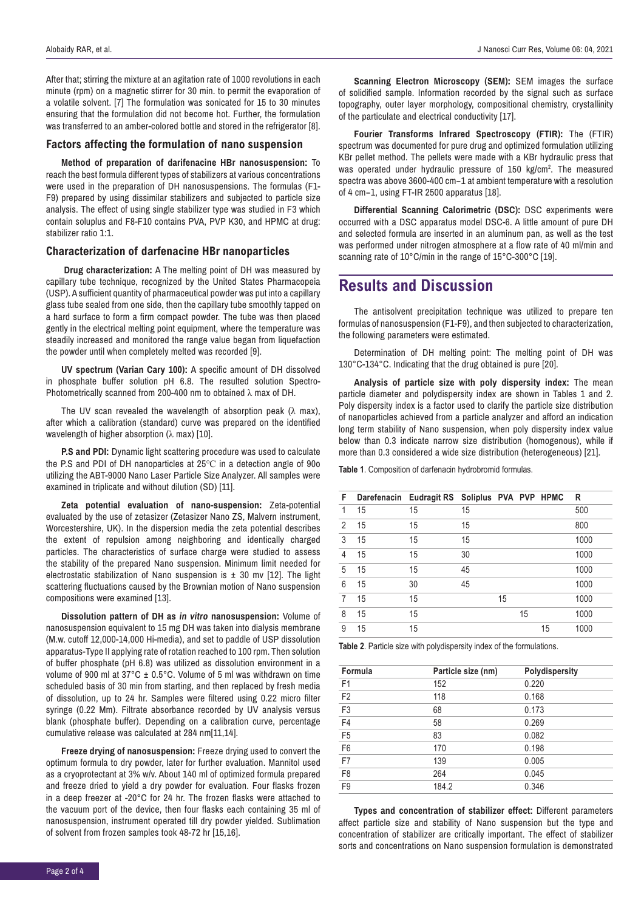After that; stirring the mixture at an agitation rate of 1000 revolutions in each minute (rpm) on a magnetic stirrer for 30 min. to permit the evaporation of a volatile solvent. [7] The formulation was sonicated for 15 to 30 minutes ensuring that the formulation did not become hot. Further, the formulation was transferred to an amber-colored bottle and stored in the refrigerator [8].

#### **Factors affecting the formulation of nano suspension**

**Method of preparation of darifenacine HBr nanosuspension:** To reach the best formula different types of stabilizers at various concentrations were used in the preparation of DH nanosuspensions. The formulas (F1- F9) prepared by using dissimilar stabilizers and subjected to particle size analysis. The effect of using single stabilizer type was studied in F3 which contain soluplus and F8-F10 contains PVA, PVP K30, and HPMC at drug: stabilizer ratio 1:1.

#### **Characterization of darfenacine HBr nanoparticles**

 **Drug characterization:** A The melting point of DH was measured by capillary tube technique, recognized by the United States Pharmacopeia (USP). A sufficient quantity of pharmaceutical powder was put into a capillary glass tube sealed from one side, then the capillary tube smoothly tapped on a hard surface to form a firm compact powder. The tube was then placed gently in the electrical melting point equipment, where the temperature was steadily increased and monitored the range value began from liquefaction the powder until when completely melted was recorded [9].

**UV spectrum (Varian Cary 100):** A specific amount of DH dissolved in phosphate buffer solution pH 6.8. The resulted solution Spectro-Photometrically scanned from 200-400 nm to obtained λ max of DH.

The UV scan revealed the wavelength of absorption peak ( $\lambda$  max), after which a calibration (standard) curve was prepared on the identified wavelength of higher absorption ( $\lambda$  max) [10].

**P.S and PDI:** Dynamic light scattering procedure was used to calculate the P.S and PDI of DH nanoparticles at 25℃ in a detection angle of 90o utilizing the ABT-9000 Nano Laser Particle Size Analyzer. All samples were examined in triplicate and without dilution (SD) [11].

**Zeta potential evaluation of nano-suspension:** Zeta-potential evaluated by the use of zetasizer (Zetasizer Nano ZS, Malvern instrument, Worcestershire, UK). In the dispersion media the zeta potential describes the extent of repulsion among neighboring and identically charged particles. The characteristics of surface charge were studied to assess the stability of the prepared Nano suspension. Minimum limit needed for electrostatic stabilization of Nano suspension is  $\pm$  30 mv [12]. The light scattering fluctuations caused by the Brownian motion of Nano suspension compositions were examined [13].

**Dissolution pattern of DH as** *in vitro* **nanosuspension:** Volume of nanosuspension equivalent to 15 mg DH was taken into dialysis membrane (M.w. cutoff 12,000-14,000 Hi-media), and set to paddle of USP dissolution apparatus-Type II applying rate of rotation reached to 100 rpm. Then solution of buffer phosphate (pH 6.8) was utilized as dissolution environment in a volume of 900 ml at 37°C ± 0.5°C. Volume of 5 ml was withdrawn on time scheduled basis of 30 min from starting, and then replaced by fresh media of dissolution, up to 24 hr. Samples were filtered using 0.22 micro filter syringe (0.22 Mm). Filtrate absorbance recorded by UV analysis versus blank (phosphate buffer). Depending on a calibration curve, percentage cumulative release was calculated at 284 nm[11,14].

**Freeze drying of nanosuspension:** Freeze drying used to convert the optimum formula to dry powder, later for further evaluation. Mannitol used as a cryoprotectant at 3% w/v. About 140 ml of optimized formula prepared and freeze dried to yield a dry powder for evaluation. Four flasks frozen in a deep freezer at -20°C for 24 hr. The frozen flasks were attached to the vacuum port of the device, then four flasks each containing 35 ml of nanosuspension, instrument operated till dry powder yielded. Sublimation of solvent from frozen samples took 48-72 hr [15,16].

**Scanning Electron Microscopy (SEM):** SEM images the surface of solidified sample. Information recorded by the signal such as surface topography, outer layer morphology, compositional chemistry, crystallinity of the particulate and electrical conductivity [17].

**Fourier Transforms Infrared Spectroscopy (FTIR):** The (FTIR) spectrum was documented for pure drug and optimized formulation utilizing KBr pellet method. The pellets were made with a KBr hydraulic press that was operated under hydraulic pressure of 150 kg/cm<sup>2</sup>. The measured spectra was above 3600-400 cm−1 at ambient temperature with a resolution of 4 cm−1, using FT-IR 2500 apparatus [18].

**Differential Scanning Calorimetric (DSC):** DSC experiments were occurred with a DSC apparatus model DSC-6. A little amount of pure DH and selected formula are inserted in an aluminum pan, as well as the test was performed under nitrogen atmosphere at a flow rate of 40 ml/min and scanning rate of 10°C/min in the range of 15°C-300°C [19].

# **Results and Discussion**

The antisolvent precipitation technique was utilized to prepare ten formulas of nanosuspension (F1-F9), and then subjected to characterization, the following parameters were estimated.

Determination of DH melting point: The melting point of DH was 130°C-134°C. Indicating that the drug obtained is pure [20].

**Analysis of particle size with poly dispersity index:** The mean particle diameter and polydispersity index are shown in Tables 1 and 2. Poly dispersity index is a factor used to clarify the particle size distribution of nanoparticles achieved from a particle analyzer and afford an indication long term stability of Nano suspension, when poly dispersity index value below than 0.3 indicate narrow size distribution (homogenous), while if more than 0.3 considered a wide size distribution (heterogeneous) [21].

**Table 1**. Composition of darfenacin hydrobromid formulas.

| F |    | Darefenacin Eudragit RS Soliplus PVA PVP HPMC |    |    |    |    | R    |
|---|----|-----------------------------------------------|----|----|----|----|------|
| 1 | 15 | 15                                            | 15 |    |    |    | 500  |
| 2 | 15 | 15                                            | 15 |    |    |    | 800  |
| 3 | 15 | 15                                            | 15 |    |    |    | 1000 |
| 4 | 15 | 15                                            | 30 |    |    |    | 1000 |
| 5 | 15 | 15                                            | 45 |    |    |    | 1000 |
| 6 | 15 | 30                                            | 45 |    |    |    | 1000 |
| 7 | 15 | 15                                            |    | 15 |    |    | 1000 |
| 8 | 15 | 15                                            |    |    | 15 |    | 1000 |
| 9 | 15 | 15                                            |    |    |    | 15 | 1000 |
|   |    |                                               |    |    |    |    |      |

**Table 2**. Particle size with polydispersity index of the formulations.

| Formula        | Particle size (nm) | Polydispersity |
|----------------|--------------------|----------------|
| F <sub>1</sub> | 152                | 0.220          |
| F <sub>2</sub> | 118                | 0.168          |
| F <sub>3</sub> | 68                 | 0.173          |
| F4             | 58                 | 0.269          |
| F <sub>5</sub> | 83                 | 0.082          |
| F <sub>6</sub> | 170                | 0.198          |
| F7             | 139                | 0.005          |
| F <sub>8</sub> | 264                | 0.045          |
| F <sub>9</sub> | 184.2              | 0.346          |

**Types and concentration of stabilizer effect:** Different parameters affect particle size and stability of Nano suspension but the type and concentration of stabilizer are critically important. The effect of stabilizer sorts and concentrations on Nano suspension formulation is demonstrated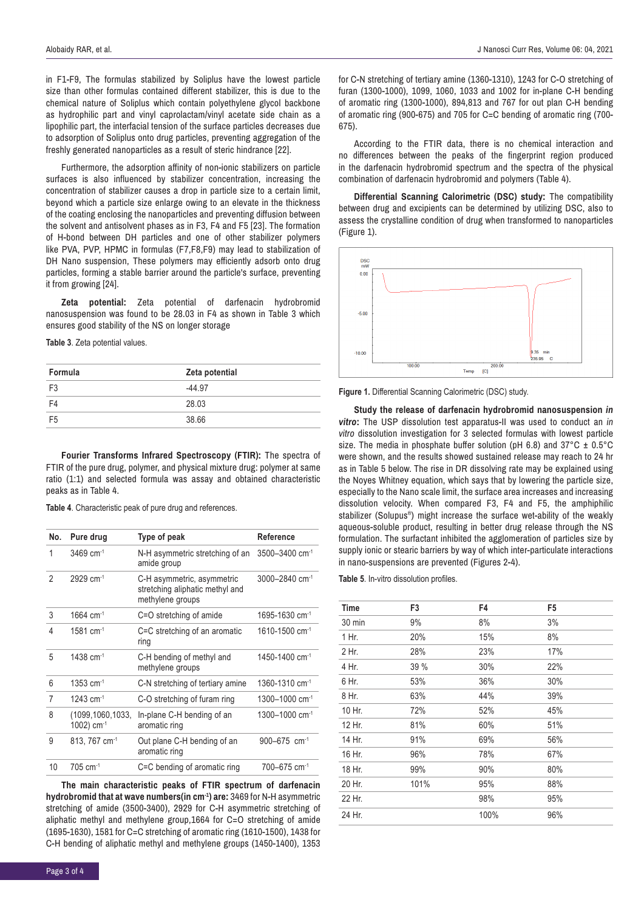in F1-F9, The formulas stabilized by Soliplus have the lowest particle size than other formulas contained different stabilizer, this is due to the chemical nature of Soliplus which contain polyethylene glycol backbone as hydrophilic part and vinyl caprolactam/vinyl acetate side chain as a lipophilic part, the interfacial tension of the surface particles decreases due to adsorption of Soliplus onto drug particles, preventing aggregation of the freshly generated nanoparticles as a result of steric hindrance [22].

Furthermore, the adsorption affinity of non-ionic stabilizers on particle surfaces is also influenced by stabilizer concentration, increasing the concentration of stabilizer causes a drop in particle size to a certain limit, beyond which a particle size enlarge owing to an elevate in the thickness of the coating enclosing the nanoparticles and preventing diffusion between the solvent and antisolvent phases as in F3, F4 and F5 [23]. The formation of H-bond between DH particles and one of other stabilizer polymers like PVA, PVP, HPMC in formulas (F7,F8,F9) may lead to stabilization of DH Nano suspension, These polymers may efficiently adsorb onto drug particles, forming a stable barrier around the particle's surface, preventing it from growing [24].

**Zeta potential:** Zeta potential of darfenacin hydrobromid nanosuspension was found to be 28.03 in F4 as shown in Table 3 which ensures good stability of the NS on longer storage

**Table 3**. Zeta potential values.

| Formula        | Zeta potential |  |
|----------------|----------------|--|
| F <sub>3</sub> | $-44.97$       |  |
| F4             | 28.03          |  |
| F <sub>5</sub> | 38.66          |  |

**Fourier Transforms Infrared Spectroscopy (FTIR):** The spectra of FTIR of the pure drug, polymer, and physical mixture drug: polymer at same ratio (1:1) and selected formula was assay and obtained characteristic peaks as in Table 4.

**Table 4**. Characteristic peak of pure drug and references.

| No. | Pure drug                           | Type of peak                                                                      | Reference                      |
|-----|-------------------------------------|-----------------------------------------------------------------------------------|--------------------------------|
| 1   | $3469$ cm <sup>-1</sup>             | N-H asymmetric stretching of an<br>amide group                                    | 3500-3400 cm <sup>-1</sup>     |
| 2   | $2929$ cm <sup>-1</sup>             | C-H asymmetric, asymmetric<br>stretching aliphatic methyl and<br>methylene groups | 3000-2840 cm <sup>-1</sup>     |
| 3   | $1664$ cm <sup>-1</sup>             | C=O stretching of amide                                                           | 1695-1630 cm <sup>-1</sup>     |
| 4   | $1581 \text{ cm}^{-1}$              | C=C stretching of an aromatic<br>ring                                             | $1610 - 1500$ cm <sup>-1</sup> |
| 5   | $1438$ cm <sup>-1</sup>             | C-H bending of methyl and<br>methylene groups                                     | 1450-1400 cm <sup>-1</sup>     |
| 6   | $1353$ cm <sup>-1</sup>             | C-N stretching of tertiary amine                                                  | 1360-1310 cm <sup>-1</sup>     |
| 7   | 1243 cm <sup>-1</sup>               | C-O stretching of furam ring                                                      | 1300-1000 cm <sup>-1</sup>     |
| 8   | (1099,1060,1033,<br>1002) $cm^{-1}$ | In-plane C-H bending of an<br>aromatic ring                                       | $1300 - 1000$ cm <sup>-1</sup> |
| 9   | 813, 767 cm <sup>-1</sup>           | Out plane C-H bending of an<br>aromatic ring                                      | $900 - 675$ cm <sup>-1</sup>   |
| 10  | $705 \text{ cm}^{-1}$               | C=C bending of aromatic ring                                                      | 700-675 cm <sup>-1</sup>       |

**The main characteristic peaks of FTIR spectrum of darfenacin hydrobromid that at wave numbers(in cm-1) are:** 3469 for N-H asymmetric stretching of amide (3500-3400), 2929 for C-H asymmetric stretching of aliphatic methyl and methylene group,1664 for C=O stretching of amide (1695-1630), 1581 for C=C stretching of aromatic ring (1610-1500), 1438 for C-H bending of aliphatic methyl and methylene groups (1450-1400), 1353

for C-N stretching of tertiary amine (1360-1310), 1243 for C-O stretching of furan (1300-1000), 1099, 1060, 1033 and 1002 for in-plane C-H bending of aromatic ring (1300-1000), 894,813 and 767 for out plan C-H bending of aromatic ring (900-675) and 705 for C=C bending of aromatic ring (700- 675).

According to the FTIR data, there is no chemical interaction and no differences between the peaks of the fingerprint region produced in the darfenacin hydrobromid spectrum and the spectra of the physical combination of darfenacin hydrobromid and polymers (Table 4).

**Differential Scanning Calorimetric (DSC) study:** The compatibility between drug and excipients can be determined by utilizing DSC, also to assess the crystalline condition of drug when transformed to nanoparticles (Figure 1).





**Study the release of darfenacin hydrobromid nanosuspension** *in vitro***:** The USP dissolution test apparatus-II was used to conduct an *in vitro* dissolution investigation for 3 selected formulas with lowest particle size. The media in phosphate buffer solution (pH 6.8) and  $37^{\circ}$ C  $\pm$  0.5°C were shown, and the results showed sustained release may reach to 24 hr as in Table 5 below. The rise in DR dissolving rate may be explained using the Noyes Whitney equation, which says that by lowering the particle size, especially to the Nano scale limit, the surface area increases and increasing dissolution velocity. When compared F3, F4 and F5, the amphiphilic stabilizer (Solupus®) might increase the surface wet-ability of the weakly aqueous-soluble product, resulting in better drug release through the NS formulation. The surfactant inhibited the agglomeration of particles size by supply ionic or stearic barriers by way of which inter-particulate interactions in nano-suspensions are prevented (Figures 2-4).

**Table 5**. In-vitro dissolution profiles.

| Time   | F <sub>3</sub> | F4   | F5  |
|--------|----------------|------|-----|
| 30 min | 9%             | 8%   | 3%  |
| 1 Hr.  | 20%            | 15%  | 8%  |
| 2 Hr.  | 28%            | 23%  | 17% |
| 4 Hr.  | 39 %           | 30%  | 22% |
| 6 Hr.  | 53%            | 36%  | 30% |
| 8 Hr.  | 63%            | 44%  | 39% |
| 10 Hr. | 72%            | 52%  | 45% |
| 12 Hr. | 81%            | 60%  | 51% |
| 14 Hr. | 91%            | 69%  | 56% |
| 16 Hr. | 96%            | 78%  | 67% |
| 18 Hr. | 99%            | 90%  | 80% |
| 20 Hr. | 101%           | 95%  | 88% |
| 22 Hr. |                | 98%  | 95% |
| 24 Hr. |                | 100% | 96% |